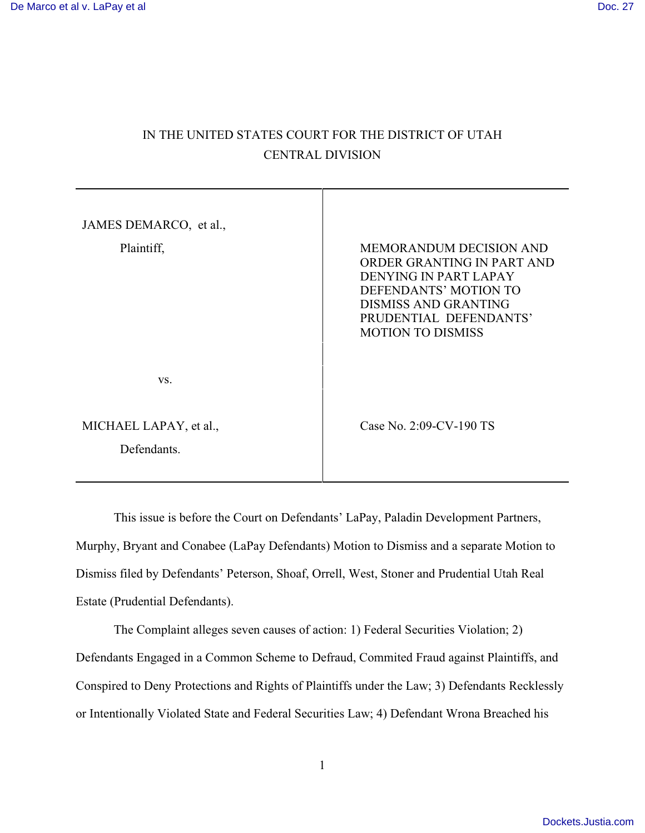# IN THE UNITED STATES COURT FOR THE DISTRICT OF UTAH CENTRAL DIVISION

| JAMES DEMARCO, et al.,                |                                                                                                                                                                                                     |
|---------------------------------------|-----------------------------------------------------------------------------------------------------------------------------------------------------------------------------------------------------|
| Plaintiff,                            | <b>MEMORANDUM DECISION AND</b><br>ORDER GRANTING IN PART AND<br>DENYING IN PART LAPAY<br>DEFENDANTS' MOTION TO<br><b>DISMISS AND GRANTING</b><br>PRUDENTIAL DEFENDANTS'<br><b>MOTION TO DISMISS</b> |
| VS.                                   |                                                                                                                                                                                                     |
| MICHAEL LAPAY, et al.,<br>Defendants. | Case No. 2:09-CV-190 TS                                                                                                                                                                             |

This issue is before the Court on Defendants' LaPay, Paladin Development Partners, Murphy, Bryant and Conabee (LaPay Defendants) Motion to Dismiss and a separate Motion to Dismiss filed by Defendants' Peterson, Shoaf, Orrell, West, Stoner and Prudential Utah Real Estate (Prudential Defendants).

The Complaint alleges seven causes of action: 1) Federal Securities Violation; 2) Defendants Engaged in a Common Scheme to Defraud, Commited Fraud against Plaintiffs, and Conspired to Deny Protections and Rights of Plaintiffs under the Law; 3) Defendants Recklessly or Intentionally Violated State and Federal Securities Law; 4) Defendant Wrona Breached his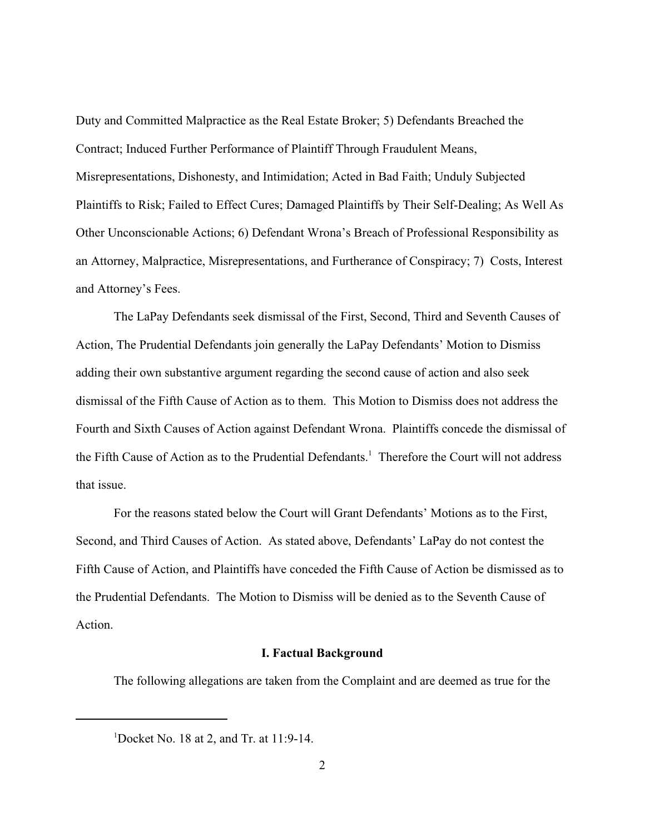Duty and Committed Malpractice as the Real Estate Broker; 5) Defendants Breached the Contract; Induced Further Performance of Plaintiff Through Fraudulent Means, Misrepresentations, Dishonesty, and Intimidation; Acted in Bad Faith; Unduly Subjected Plaintiffs to Risk; Failed to Effect Cures; Damaged Plaintiffs by Their Self-Dealing; As Well As Other Unconscionable Actions; 6) Defendant Wrona's Breach of Professional Responsibility as an Attorney, Malpractice, Misrepresentations, and Furtherance of Conspiracy; 7) Costs, Interest and Attorney's Fees.

The LaPay Defendants seek dismissal of the First, Second, Third and Seventh Causes of Action, The Prudential Defendants join generally the LaPay Defendants' Motion to Dismiss adding their own substantive argument regarding the second cause of action and also seek dismissal of the Fifth Cause of Action as to them. This Motion to Dismiss does not address the Fourth and Sixth Causes of Action against Defendant Wrona. Plaintiffs concede the dismissal of the Fifth Cause of Action as to the Prudential Defendants.<sup>1</sup> Therefore the Court will not address that issue.

For the reasons stated below the Court will Grant Defendants' Motions as to the First, Second, and Third Causes of Action. As stated above, Defendants' LaPay do not contest the Fifth Cause of Action, and Plaintiffs have conceded the Fifth Cause of Action be dismissed as to the Prudential Defendants. The Motion to Dismiss will be denied as to the Seventh Cause of Action.

### **I. Factual Background**

The following allegations are taken from the Complaint and are deemed as true for the

<sup>&</sup>lt;sup>1</sup>Docket No. 18 at 2, and Tr. at 11:9-14.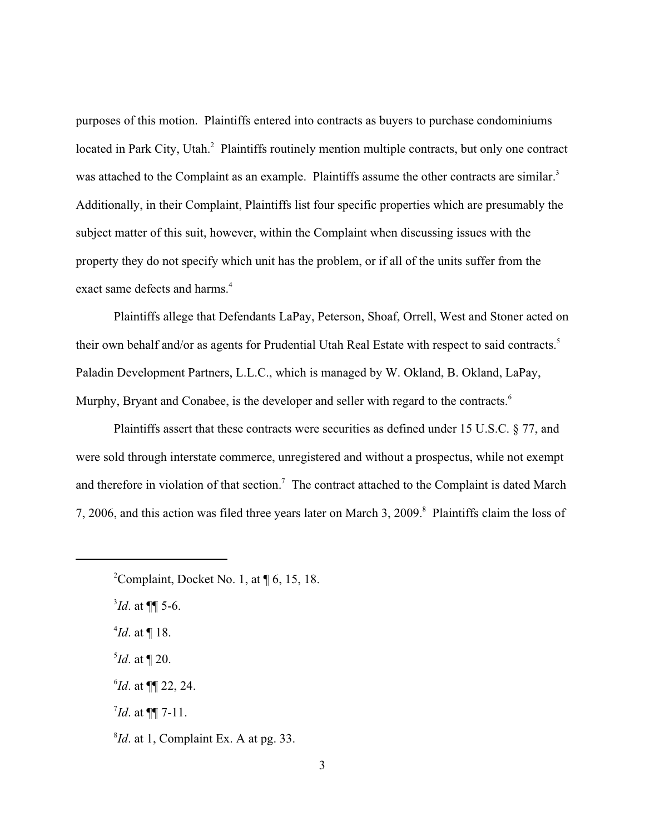purposes of this motion. Plaintiffs entered into contracts as buyers to purchase condominiums located in Park City, Utah.<sup>2</sup> Plaintiffs routinely mention multiple contracts, but only one contract was attached to the Complaint as an example. Plaintiffs assume the other contracts are similar.<sup>3</sup> Additionally, in their Complaint, Plaintiffs list four specific properties which are presumably the subject matter of this suit, however, within the Complaint when discussing issues with the property they do not specify which unit has the problem, or if all of the units suffer from the exact same defects and harms.<sup>4</sup>

Plaintiffs allege that Defendants LaPay, Peterson, Shoaf, Orrell, West and Stoner acted on their own behalf and/or as agents for Prudential Utah Real Estate with respect to said contracts.<sup>5</sup> Paladin Development Partners, L.L.C., which is managed by W. Okland, B. Okland, LaPay, Murphy, Bryant and Conabee, is the developer and seller with regard to the contracts.<sup>6</sup>

Plaintiffs assert that these contracts were securities as defined under 15 U.S.C. § 77, and were sold through interstate commerce, unregistered and without a prospectus, while not exempt and therefore in violation of that section.<sup>7</sup> The contract attached to the Complaint is dated March 7, 2006, and this action was filed three years later on March 3, 2009.<sup>8</sup> Plaintiffs claim the loss of

- $\delta$ *Id*. at ¶ 20.
- $^{6}$ *Id.* at ¶¶ 22, 24.
- $^{7}Id.$  at  $\P\P$  7-11.
- $^{8}$ *Id*. at 1, Complaint Ex. A at pg. 33.

<sup>&</sup>lt;sup>2</sup>Complaint, Docket No. 1, at  $\P$  6, 15, 18.

 $^{3}$ *Id.* at  $\P\P$  5-6.

 $^{4}$ *Id.* at ¶ 18.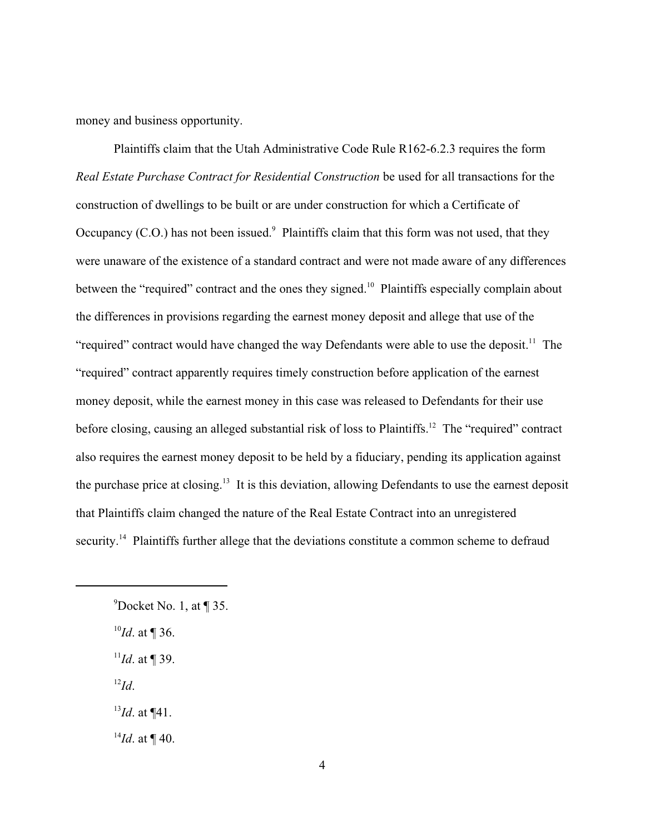money and business opportunity.

Plaintiffs claim that the Utah Administrative Code Rule R162-6.2.3 requires the form *Real Estate Purchase Contract for Residential Construction* be used for all transactions for the construction of dwellings to be built or are under construction for which a Certificate of Occupancy (C.O.) has not been issued. $\degree$  Plaintiffs claim that this form was not used, that they were unaware of the existence of a standard contract and were not made aware of any differences between the "required" contract and the ones they signed.<sup>10</sup> Plaintiffs especially complain about the differences in provisions regarding the earnest money deposit and allege that use of the "required" contract would have changed the way Defendants were able to use the deposit.<sup>11</sup> The "required" contract apparently requires timely construction before application of the earnest money deposit, while the earnest money in this case was released to Defendants for their use before closing, causing an alleged substantial risk of loss to Plaintiffs.<sup>12</sup> The "required" contract also requires the earnest money deposit to be held by a fiduciary, pending its application against the purchase price at closing.<sup>13</sup> It is this deviation, allowing Defendants to use the earnest deposit that Plaintiffs claim changed the nature of the Real Estate Contract into an unregistered security.<sup>14</sup> Plaintiffs further allege that the deviations constitute a common scheme to defraud

- $^{10}$ *Id.* at ¶ 36.
- $^{11}$ *Id.* at ¶ 39.
- $\mathbf{I}^{\mathfrak{2}}\mathbf{Id}.$
- $^{13}$ *Id.* at ¶41.
- $^{14}$ *Id.* at ¶ 40.

 $^{9}$ Docket No. 1, at ¶ 35.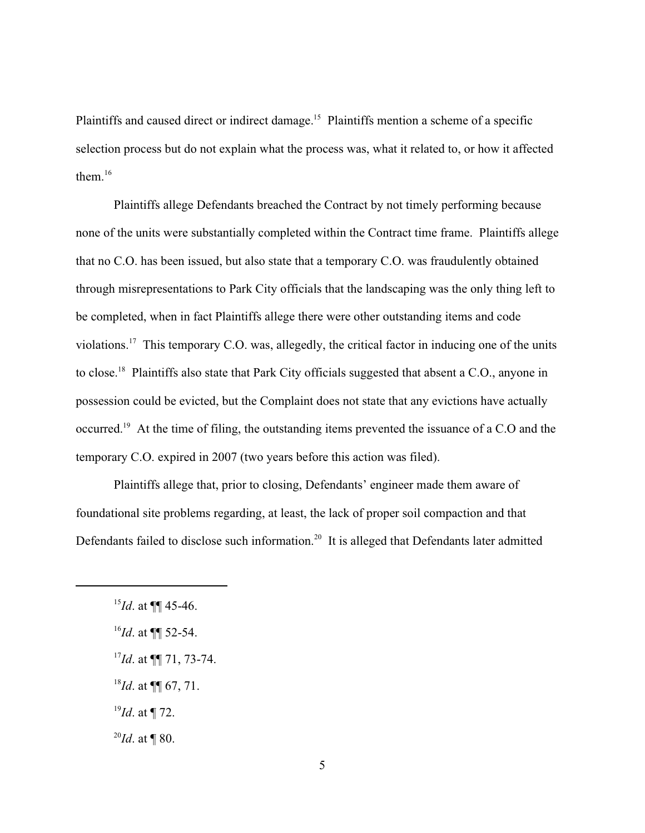Plaintiffs and caused direct or indirect damage.<sup>15</sup> Plaintiffs mention a scheme of a specific selection process but do not explain what the process was, what it related to, or how it affected them. $^{16}$ 

Plaintiffs allege Defendants breached the Contract by not timely performing because none of the units were substantially completed within the Contract time frame. Plaintiffs allege that no C.O. has been issued, but also state that a temporary C.O. was fraudulently obtained through misrepresentations to Park City officials that the landscaping was the only thing left to be completed, when in fact Plaintiffs allege there were other outstanding items and code violations.<sup>17</sup> This temporary C.O. was, allegedly, the critical factor in inducing one of the units to close.<sup>18</sup> Plaintiffs also state that Park City officials suggested that absent a C.O., anyone in possession could be evicted, but the Complaint does not state that any evictions have actually occurred.<sup>19</sup> At the time of filing, the outstanding items prevented the issuance of a C.O and the temporary C.O. expired in 2007 (two years before this action was filed).

Plaintiffs allege that, prior to closing, Defendants' engineer made them aware of foundational site problems regarding, at least, the lack of proper soil compaction and that Defendants failed to disclose such information.<sup>20</sup> It is alleged that Defendants later admitted

 $^{18}$ *Id.* at ¶ 67, 71.

 $^{19}$ *Id.* at ¶ 72.

 $^{20}$ *Id.* at ¶ 80.

 $^{15}$ *Id.* at **¶** 45-46.

 $^{16}$ *Id*. at ¶¶ 52-54.

<sup>&</sup>lt;sup>17</sup>*Id.* at ¶[ 71, 73-74.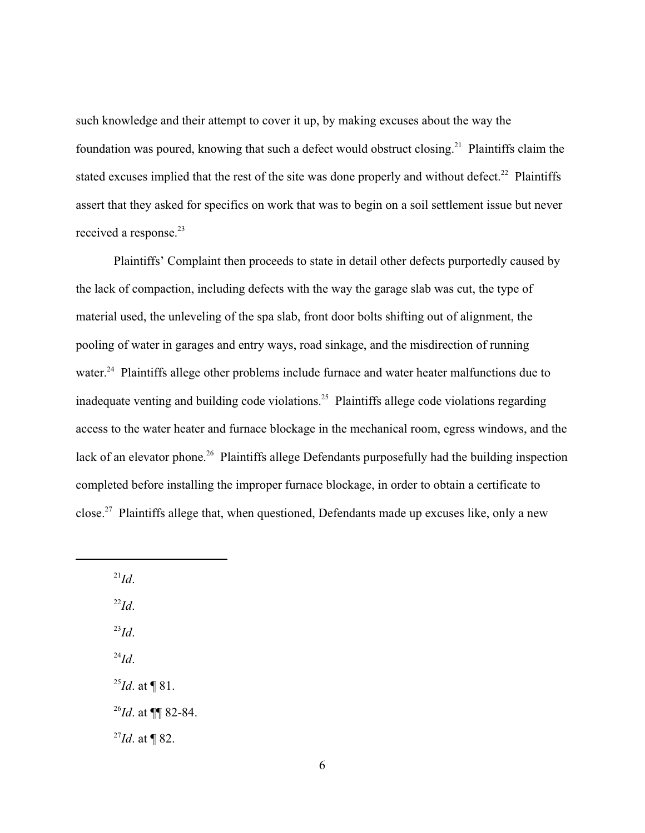such knowledge and their attempt to cover it up, by making excuses about the way the foundation was poured, knowing that such a defect would obstruct closing.<sup>21</sup> Plaintiffs claim the stated excuses implied that the rest of the site was done properly and without defect.<sup>22</sup> Plaintiffs assert that they asked for specifics on work that was to begin on a soil settlement issue but never received a response.<sup>23</sup>

Plaintiffs' Complaint then proceeds to state in detail other defects purportedly caused by the lack of compaction, including defects with the way the garage slab was cut, the type of material used, the unleveling of the spa slab, front door bolts shifting out of alignment, the pooling of water in garages and entry ways, road sinkage, and the misdirection of running water.<sup>24</sup> Plaintiffs allege other problems include furnace and water heater malfunctions due to inadequate venting and building code violations.<sup>25</sup> Plaintiffs allege code violations regarding access to the water heater and furnace blockage in the mechanical room, egress windows, and the lack of an elevator phone.<sup>26</sup> Plaintiffs allege Defendants purposefully had the building inspection completed before installing the improper furnace blockage, in order to obtain a certificate to close.<sup>27</sup> Plaintiffs allege that, when questioned, Defendants made up excuses like, only a new

 $\mu$ <sup>21</sup>*Id*.

 $^{22}Id.$ 

 $^{23}Id.$ 

 $^{24}Id.$ 

 $^{25}Id$ . at ¶ 81.

 $^{26}$ *Id.* at ¶¶ 82-84.

 $^{27}$ *Id.* at ¶ 82.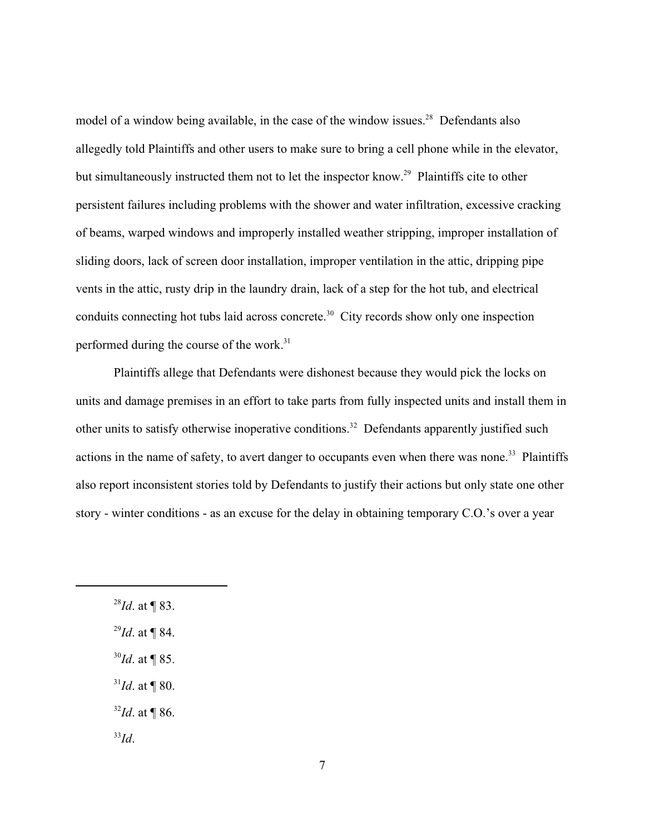model of a window being available, in the case of the window issues.<sup>28</sup> Defendants also allegedly told Plaintiffs and other users to make sure to bring a cell phone while in the elevator, but simultaneously instructed them not to let the inspector know.<sup>29</sup> Plaintiffs cite to other persistent failures including problems with the shower and water infiltration, excessive cracking of beams, warped windows and improperly installed weather stripping, improper installation of sliding doors, lack of screen door installation, improper ventilation in the attic, dripping pipe vents in the attic, rusty drip in the laundry drain, lack of a step for the hot tub, and electrical conduits connecting hot tubs laid across concrete.<sup>30</sup> City records show only one inspection performed during the course of the work.<sup>31</sup>

Plaintiffs allege that Defendants were dishonest because they would pick the locks on units and damage premises in an effort to take parts from fully inspected units and install them in other units to satisfy otherwise inoperative conditions.<sup>32</sup> Defendants apparently justified such actions in the name of safety, to avert danger to occupants even when there was none.<sup>33</sup> Plaintiffs also report inconsistent stories told by Defendants to justify their actions but only state one other story - winter conditions - as an excuse for the delay in obtaining temporary C.O.'s over a year

- $^{29}$ *Id.* at ¶ 84.
- $^{30}$ *Id.* at ¶ 85.
- $^{31}$ *Id.* at ¶ 80.
- $32$ *Id.* at ¶ 86.

 $^{33}Id.$ 

 $^{28}Id.$  at ¶ 83.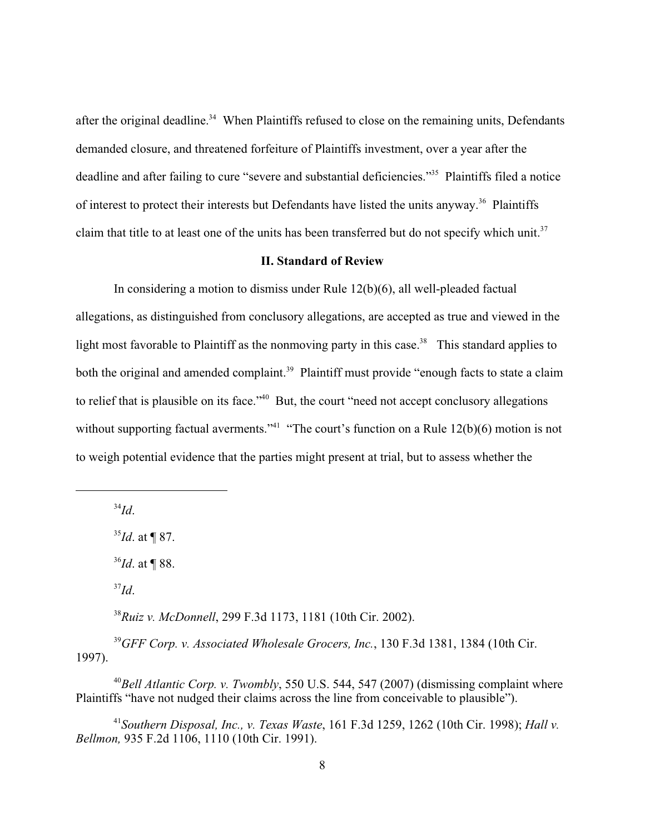after the original deadline.<sup>34</sup> When Plaintiffs refused to close on the remaining units, Defendants demanded closure, and threatened forfeiture of Plaintiffs investment, over a year after the deadline and after failing to cure "severe and substantial deficiencies."<sup>35</sup> Plaintiffs filed a notice of interest to protect their interests but Defendants have listed the units anyway.<sup>36</sup> Plaintiffs claim that title to at least one of the units has been transferred but do not specify which unit.<sup>37</sup>

#### **II. Standard of Review**

In considering a motion to dismiss under Rule 12(b)(6), all well-pleaded factual allegations, as distinguished from conclusory allegations, are accepted as true and viewed in the light most favorable to Plaintiff as the nonmoving party in this case.<sup>38</sup> This standard applies to both the original and amended complaint.<sup>39</sup> Plaintiff must provide "enough facts to state a claim" to relief that is plausible on its face."<sup>40</sup> But, the court "need not accept conclusory allegations without supporting factual averments."<sup>41</sup> "The court's function on a Rule  $12(b)(6)$  motion is not to weigh potential evidence that the parties might present at trial, but to assess whether the

 $^{34}Id.$ 

 $^{35}$ *Id.* at ¶ 87.

 $^{36}$ *Id.* at ¶ 88.

 $J^3Id$ .

<sup>38</sup> Ruiz v. McDonnell, 299 F.3d 1173, 1181 (10th Cir. 2002).

<sup>39</sup> GFF Corp. v. Associated Wholesale Grocers, Inc., 130 F.3d 1381, 1384 (10th Cir. 1997).

<sup>40</sup>Bell Atlantic Corp. v. Twombly, 550 U.S. 544, 547 (2007) (dismissing complaint where Plaintiffs "have not nudged their claims across the line from conceivable to plausible").

*Southern Disposal, Inc., v. Texas Waste*, 161 F.3d 1259, 1262 (10th Cir. 1998); *Hall v.* <sup>41</sup> *Bellmon,* 935 F.2d 1106, 1110 (10th Cir. 1991).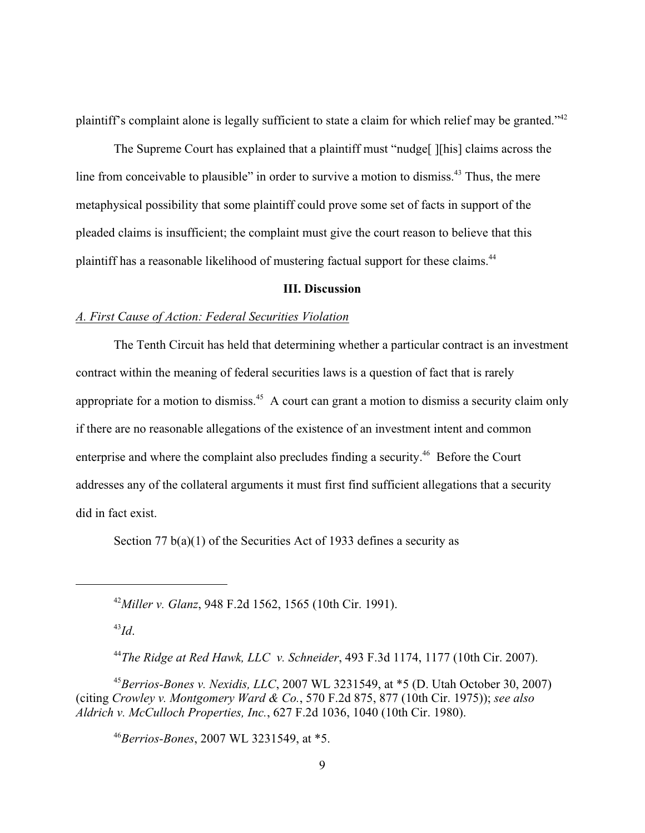plaintiff's complaint alone is legally sufficient to state a claim for which relief may be granted."<sup>42</sup>

The Supreme Court has explained that a plaintiff must "nudge[] [his] claims across the line from conceivable to plausible" in order to survive a motion to dismiss.<sup> $43$ </sup> Thus, the mere metaphysical possibility that some plaintiff could prove some set of facts in support of the pleaded claims is insufficient; the complaint must give the court reason to believe that this plaintiff has a reasonable likelihood of mustering factual support for these claims.<sup>44</sup>

#### **III. Discussion**

#### *A. First Cause of Action: Federal Securities Violation*

The Tenth Circuit has held that determining whether a particular contract is an investment contract within the meaning of federal securities laws is a question of fact that is rarely appropriate for a motion to dismiss.<sup>45</sup> A court can grant a motion to dismiss a security claim only if there are no reasonable allegations of the existence of an investment intent and common enterprise and where the complaint also precludes finding a security.<sup>46</sup> Before the Court addresses any of the collateral arguments it must first find sufficient allegations that a security did in fact exist.

Section 77 b(a)(1) of the Securities Act of 1933 defines a security as

<sup>42</sup> Miller v. Glanz, 948 F.2d 1562, 1565 (10th Cir. 1991).

 $^{43}Id.$ 

*The Ridge at Red Hawk, LLC v. Schneider*, 493 F.3d 1174, 1177 (10th Cir. 2007). <sup>44</sup>

 $^{45}$ Berrios-Bones v. Nexidis, LLC, 2007 WL 3231549, at  $*5$  (D. Utah October 30, 2007) (citing *Crowley v. Montgomery Ward & Co.*, 570 F.2d 875, 877 (10th Cir. 1975)); *see also Aldrich v. McCulloch Properties, Inc.*, 627 F.2d 1036, 1040 (10th Cir. 1980).

*Berrios-Bones*, 2007 WL 3231549, at \*5. <sup>46</sup>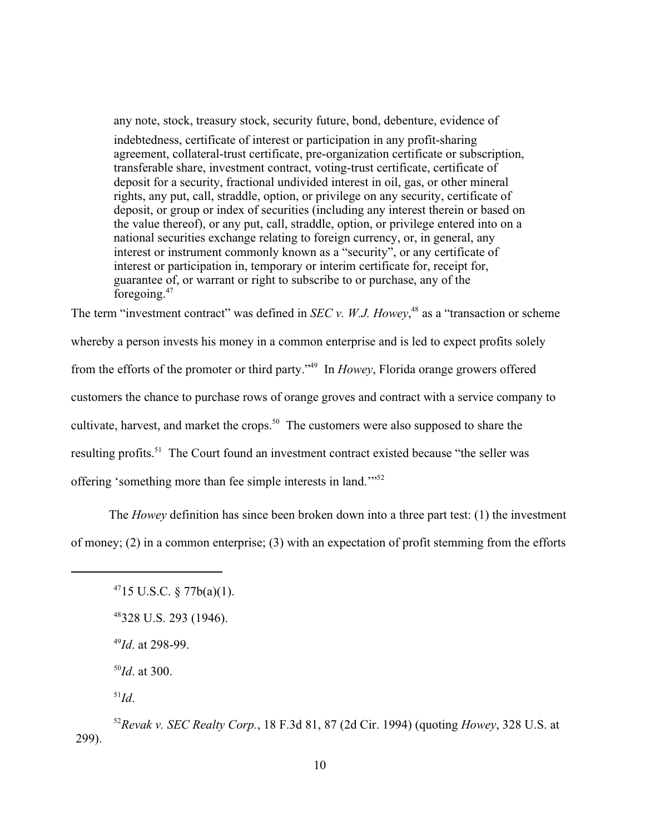any note, stock, treasury stock, security future, bond, debenture, evidence of indebtedness, certificate of interest or participation in any profit-sharing agreement, collateral-trust certificate, pre-organization certificate or subscription, transferable share, investment contract, voting-trust certificate, certificate of deposit for a security, fractional undivided interest in oil, gas, or other mineral rights, any put, call, straddle, option, or privilege on any security, certificate of deposit, or group or index of securities (including any interest therein or based on the value thereof), or any put, call, straddle, option, or privilege entered into on a national securities exchange relating to foreign currency, or, in general, any interest or instrument commonly known as a "security", or any certificate of interest or participation in, temporary or interim certificate for, receipt for, guarantee of, or warrant or right to subscribe to or purchase, any of the foregoing.<sup>47</sup>

The term "investment contract" was defined in *SEC v. W.J. Howey*<sup>48</sup> as a "transaction or scheme" whereby a person invests his money in a common enterprise and is led to expect profits solely from the efforts of the promoter or third party."<sup>49</sup> In *Howey*, Florida orange growers offered customers the chance to purchase rows of orange groves and contract with a service company to cultivate, harvest, and market the crops.<sup>50</sup> The customers were also supposed to share the resulting profits.<sup>51</sup> The Court found an investment contract existed because "the seller was offering 'something more than fee simple interests in land."<sup>52</sup>

The *Howey* definition has since been broken down into a three part test: (1) the investment of money; (2) in a common enterprise; (3) with an expectation of profit stemming from the efforts

 $^{50}$ *Id*. at 300.

 $\mathbf{I}^{\mathbf{1}}\mathbf{I}d$ .

 $4715$  U.S.C. § 77b(a)(1).

 $48328$  U.S. 293 (1946).

 $^{49}$ *Id.* at 298-99.

*Revak v. SEC Realty Corp.*, 18 F.3d 81, 87 (2d Cir. 1994) (quoting *Howey*, 328 U.S. at <sup>52</sup> 299).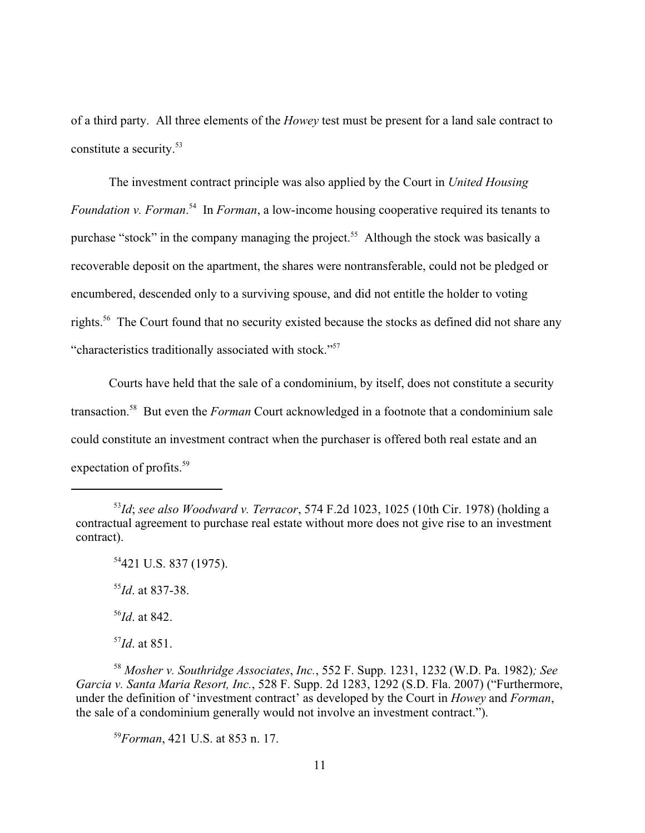of a third party. All three elements of the *Howey* test must be present for a land sale contract to constitute a security. 53

The investment contract principle was also applied by the Court in *United Housing Foundation v. Forman.*<sup>54</sup> In *Forman*, a low-income housing cooperative required its tenants to purchase "stock" in the company managing the project.<sup>55</sup> Although the stock was basically a recoverable deposit on the apartment, the shares were nontransferable, could not be pledged or encumbered, descended only to a surviving spouse, and did not entitle the holder to voting rights.<sup>56</sup> The Court found that no security existed because the stocks as defined did not share any "characteristics traditionally associated with stock."<sup>57</sup>

Courts have held that the sale of a condominium, by itself, does not constitute a security transaction.<sup>58</sup> But even the *Forman* Court acknowledged in a footnote that a condominium sale could constitute an investment contract when the purchaser is offered both real estate and an expectation of profits.<sup>59</sup>

 $^{55}$ *Id*. at 837-38.

 $^{56}$ *Id*. at 842.

 $^{57}$ *Id*. at 851.

*Mosher v. Southridge Associates*, *Inc.*, 552 F. Supp. 1231, 1232 (W.D. Pa. 1982)*; See* <sup>58</sup> *Garcia v. Santa Maria Resort, Inc.*, 528 F. Supp. 2d 1283, 1292 (S.D. Fla. 2007) ("Furthermore, under the definition of 'investment contract' as developed by the Court in *Howey* and *Forman*, the sale of a condominium generally would not involve an investment contract.").

<sup>59</sup> Forman, 421 U.S. at 853 n. 17.

<sup>&</sup>lt;sup>53</sup>Id; *see also Woodward v. Terracor*, 574 F.2d 1023, 1025 (10th Cir. 1978) (holding a contractual agreement to purchase real estate without more does not give rise to an investment contract).

 $54421$  U.S. 837 (1975).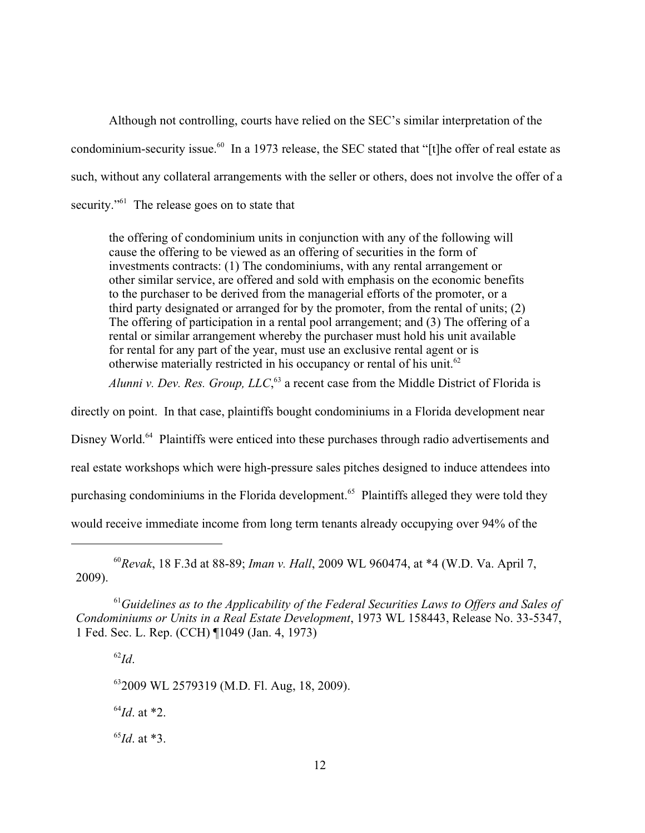Although not controlling, courts have relied on the SEC's similar interpretation of the condominium-security issue.<sup>60</sup> In a 1973 release, the SEC stated that "[t]he offer of real estate as such, without any collateral arrangements with the seller or others, does not involve the offer of a security." The release goes on to state that

the offering of condominium units in conjunction with any of the following will cause the offering to be viewed as an offering of securities in the form of investments contracts: (1) The condominiums, with any rental arrangement or other similar service, are offered and sold with emphasis on the economic benefits to the purchaser to be derived from the managerial efforts of the promoter, or a third party designated or arranged for by the promoter, from the rental of units; (2) The offering of participation in a rental pool arrangement; and (3) The offering of a rental or similar arrangement whereby the purchaser must hold his unit available for rental for any part of the year, must use an exclusive rental agent or is otherwise materially restricted in his occupancy or rental of his unit.<sup>62</sup>

*Alunni v. Dev. Res. Group, LLC*,<sup>63</sup> a recent case from the Middle District of Florida is

directly on point. In that case, plaintiffs bought condominiums in a Florida development near

Disney World.<sup>64</sup> Plaintiffs were enticed into these purchases through radio advertisements and

real estate workshops which were high-pressure sales pitches designed to induce attendees into

purchasing condominiums in the Florida development.<sup>65</sup> Plaintiffs alleged they were told they

would receive immediate income from long term tenants already occupying over 94% of the

<sup>60</sup>Revak, 18 F.3d at 88-89; *Iman v. Hall*, 2009 WL 960474, at \*4 (W.D. Va. April 7, 2009).

<sup>61</sup> Guidelines as to the Applicability of the Federal Securities Laws to Offers and Sales of *Condominiums or Units in a Real Estate Development*, 1973 WL 158443, Release No. 33-5347, 1 Fed. Sec. L. Rep. (CCH) ¶1049 (Jan. 4, 1973)

 $^{62}Id.$ 

<sup>63</sup>2009 WL 2579319 (M.D. Fl. Aug, 18, 2009).

 $^{64}$ *Id*. at  $*2$ .

 $^{65}$ *Id*. at \*3.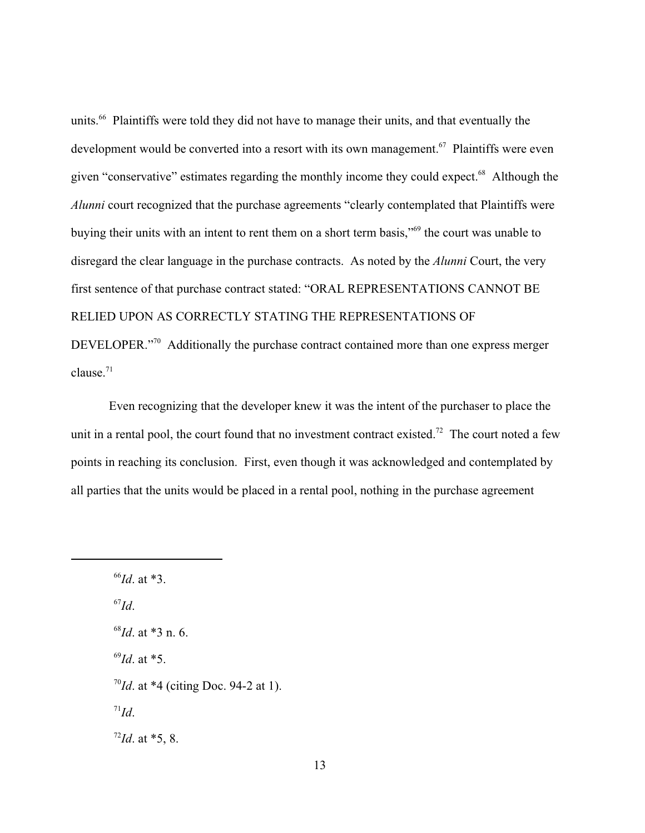units.<sup>66</sup> Plaintiffs were told they did not have to manage their units, and that eventually the development would be converted into a resort with its own management.<sup> $67$ </sup> Plaintiffs were even given "conservative" estimates regarding the monthly income they could expect.<sup>68</sup> Although the *Alunni* court recognized that the purchase agreements "clearly contemplated that Plaintiffs were buying their units with an intent to rent them on a short term basis,"<sup>69</sup> the court was unable to disregard the clear language in the purchase contracts. As noted by the *Alunni* Court, the very first sentence of that purchase contract stated: "ORAL REPRESENTATIONS CANNOT BE RELIED UPON AS CORRECTLY STATING THE REPRESENTATIONS OF DEVELOPER."<sup>70</sup> Additionally the purchase contract contained more than one express merger clause. 71

Even recognizing that the developer knew it was the intent of the purchaser to place the unit in a rental pool, the court found that no investment contract existed.<sup>72</sup> The court noted a few points in reaching its conclusion. First, even though it was acknowledged and contemplated by all parties that the units would be placed in a rental pool, nothing in the purchase agreement

 ${}^{67}Id.$ 

- $^{68}$ *Id*. at  $*3$  n. 6.
- $^{69}Id.$  at  $*5.$
- $^{70}$ *Id*. at \*4 (citing Doc. 94-2 at 1).
- $\int$ <sup>71</sup>*Id*.

 $^{72}$ *Id.* at \*5, 8.

 $^{66}$ *Id*. at \*3.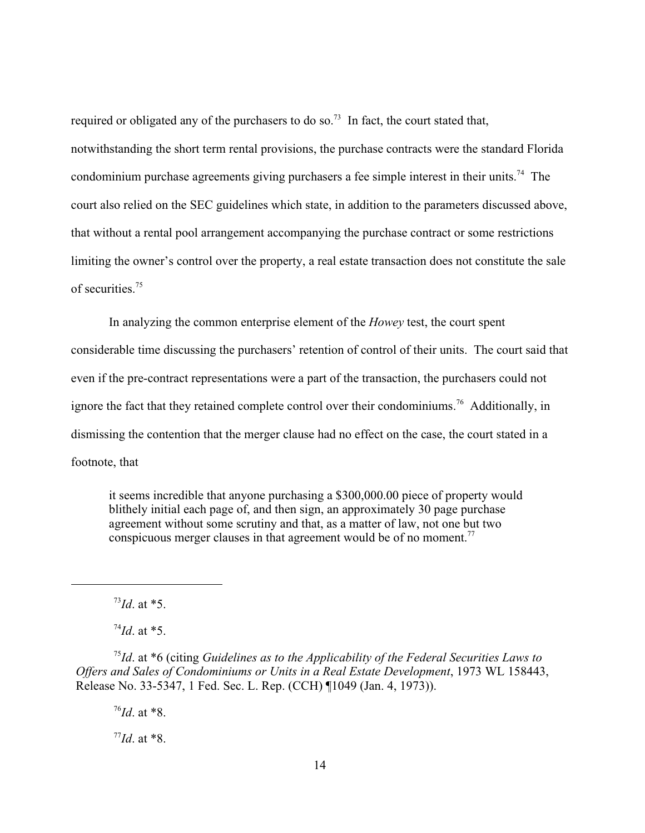required or obligated any of the purchasers to do so.<sup>73</sup> In fact, the court stated that, notwithstanding the short term rental provisions, the purchase contracts were the standard Florida condominium purchase agreements giving purchasers a fee simple interest in their units.<sup>74</sup> The court also relied on the SEC guidelines which state, in addition to the parameters discussed above, that without a rental pool arrangement accompanying the purchase contract or some restrictions limiting the owner's control over the property, a real estate transaction does not constitute the sale of securities<sup>75</sup>

In analyzing the common enterprise element of the *Howey* test, the court spent considerable time discussing the purchasers' retention of control of their units. The court said that even if the pre-contract representations were a part of the transaction, the purchasers could not ignore the fact that they retained complete control over their condominiums.<sup>76</sup> Additionally, in dismissing the contention that the merger clause had no effect on the case, the court stated in a footnote, that

it seems incredible that anyone purchasing a \$300,000.00 piece of property would blithely initial each page of, and then sign, an approximately 30 page purchase agreement without some scrutiny and that, as a matter of law, not one but two conspicuous merger clauses in that agreement would be of no moment.<sup>77</sup>

 $^{73}$ *Id*. at \*5.

 $^{74}$ *Id.* at \*5.

<sup>75</sup>Id. at \*6 (citing *Guidelines as to the Applicability of the Federal Securities Laws to Offers and Sales of Condominiums or Units in a Real Estate Development*, 1973 WL 158443, Release No. 33-5347, 1 Fed. Sec. L. Rep. (CCH) ¶1049 (Jan. 4, 1973)).

 $^{76}Id.$  at  $*8.$ 

 $^{77}Id$ . at  $*8$ .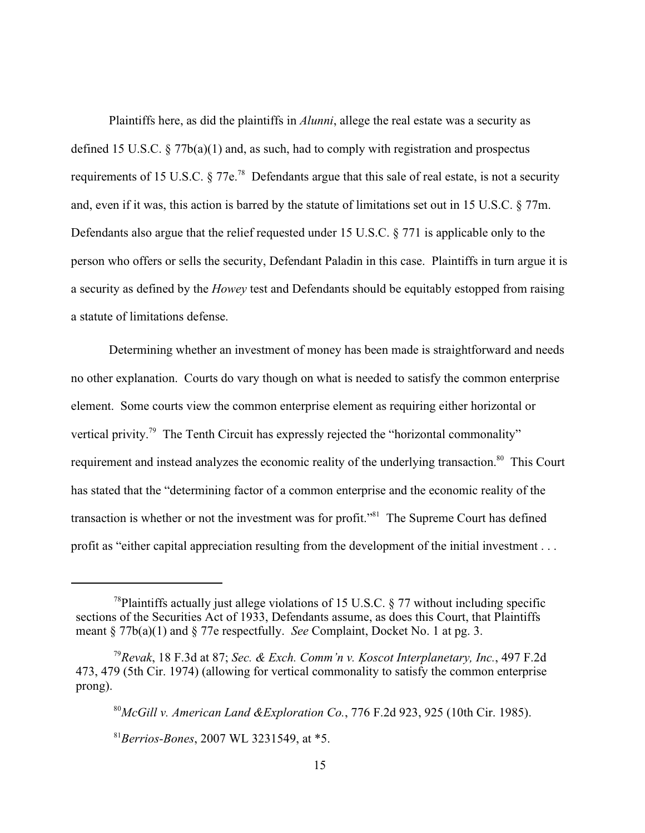Plaintiffs here, as did the plaintiffs in *Alunni*, allege the real estate was a security as defined 15 U.S.C.  $\S 77b(a)(1)$  and, as such, had to comply with registration and prospectus requirements of 15 U.S.C.  $\delta$  77e.<sup>78</sup> Defendants argue that this sale of real estate, is not a security and, even if it was, this action is barred by the statute of limitations set out in 15 U.S.C. § 77m. Defendants also argue that the relief requested under 15 U.S.C. § 771 is applicable only to the person who offers or sells the security, Defendant Paladin in this case. Plaintiffs in turn argue it is a security as defined by the *Howey* test and Defendants should be equitably estopped from raising a statute of limitations defense.

Determining whether an investment of money has been made is straightforward and needs no other explanation. Courts do vary though on what is needed to satisfy the common enterprise element. Some courts view the common enterprise element as requiring either horizontal or vertical privity.<sup>79</sup> The Tenth Circuit has expressly rejected the "horizontal commonality" requirement and instead analyzes the economic reality of the underlying transaction.<sup>80</sup> This Court has stated that the "determining factor of a common enterprise and the economic reality of the transaction is whether or not the investment was for profit."<sup>81</sup> The Supreme Court has defined profit as "either capital appreciation resulting from the development of the initial investment . . .

<sup>&</sup>lt;sup>78</sup>Plaintiffs actually just allege violations of 15 U.S.C.  $\S$  77 without including specific sections of the Securities Act of 1933, Defendants assume, as does this Court, that Plaintiffs meant § 77b(a)(1) and § 77e respectfully. *See* Complaint, Docket No. 1 at pg. 3.

*Revak*, 18 F.3d at 87; *Sec. & Exch. Comm'n v. Koscot Interplanetary, Inc.*, 497 F.2d <sup>79</sup> 473, 479 (5th Cir. 1974) (allowing for vertical commonality to satisfy the common enterprise prong).

*McGill v. American Land &Exploration Co.*, 776 F.2d 923, 925 (10th Cir. 1985). <sup>80</sup>

*Berrios-Bones*, 2007 WL 3231549, at \*5. <sup>81</sup>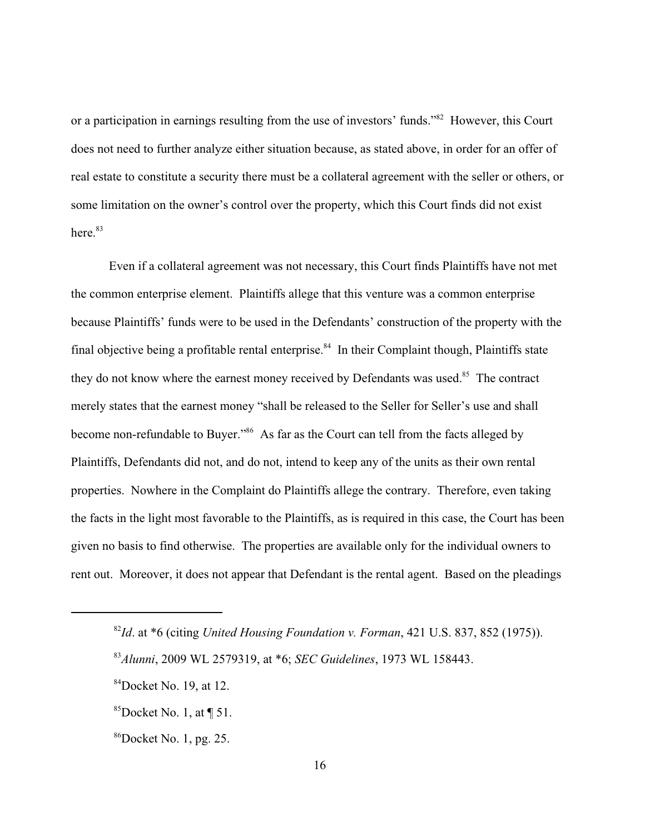or a participation in earnings resulting from the use of investors' funds."<sup>82</sup> However, this Court does not need to further analyze either situation because, as stated above, in order for an offer of real estate to constitute a security there must be a collateral agreement with the seller or others, or some limitation on the owner's control over the property, which this Court finds did not exist here. 83

Even if a collateral agreement was not necessary, this Court finds Plaintiffs have not met the common enterprise element. Plaintiffs allege that this venture was a common enterprise because Plaintiffs' funds were to be used in the Defendants' construction of the property with the final objective being a profitable rental enterprise.<sup>84</sup> In their Complaint though, Plaintiffs state they do not know where the earnest money received by Defendants was used.<sup>85</sup> The contract merely states that the earnest money "shall be released to the Seller for Seller's use and shall become non-refundable to Buyer."<sup>86</sup> As far as the Court can tell from the facts alleged by Plaintiffs, Defendants did not, and do not, intend to keep any of the units as their own rental properties. Nowhere in the Complaint do Plaintiffs allege the contrary. Therefore, even taking the facts in the light most favorable to the Plaintiffs, as is required in this case, the Court has been given no basis to find otherwise. The properties are available only for the individual owners to rent out. Moreover, it does not appear that Defendant is the rental agent. Based on the pleadings

 $^{82}$ Id. at  $*6$  (citing *United Housing Foundation v. Forman*, 421 U.S. 837, 852 (1975)).

*Alunni*, 2009 WL 2579319, at \*6; *SEC Guidelines*, 1973 WL 158443. <sup>83</sup>

 $84$ Docket No. 19, at 12.

<sup>&</sup>lt;sup>85</sup>Docket No. 1, at  $\P$  51.

 $^{86}$ Docket No. 1, pg. 25.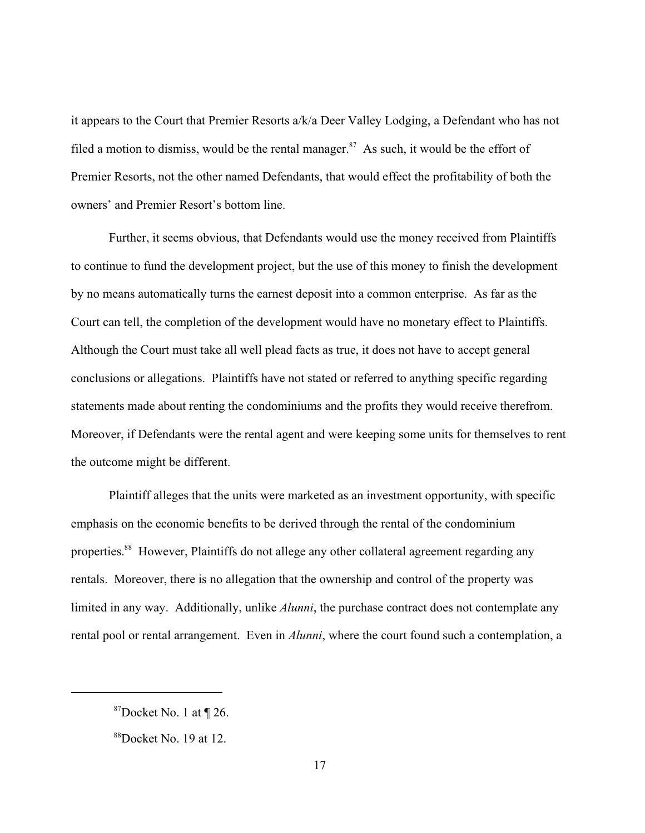it appears to the Court that Premier Resorts a/k/a Deer Valley Lodging, a Defendant who has not filed a motion to dismiss, would be the rental manager.<sup>87</sup> As such, it would be the effort of Premier Resorts, not the other named Defendants, that would effect the profitability of both the owners' and Premier Resort's bottom line.

Further, it seems obvious, that Defendants would use the money received from Plaintiffs to continue to fund the development project, but the use of this money to finish the development by no means automatically turns the earnest deposit into a common enterprise. As far as the Court can tell, the completion of the development would have no monetary effect to Plaintiffs. Although the Court must take all well plead facts as true, it does not have to accept general conclusions or allegations. Plaintiffs have not stated or referred to anything specific regarding statements made about renting the condominiums and the profits they would receive therefrom. Moreover, if Defendants were the rental agent and were keeping some units for themselves to rent the outcome might be different.

Plaintiff alleges that the units were marketed as an investment opportunity, with specific emphasis on the economic benefits to be derived through the rental of the condominium properties.<sup>88</sup> However, Plaintiffs do not allege any other collateral agreement regarding any rentals. Moreover, there is no allegation that the ownership and control of the property was limited in any way. Additionally, unlike *Alunni*, the purchase contract does not contemplate any rental pool or rental arrangement. Even in *Alunni*, where the court found such a contemplation, a

 $87$ Docket No. 1 at ¶ 26.

 $88$ Docket No. 19 at 12.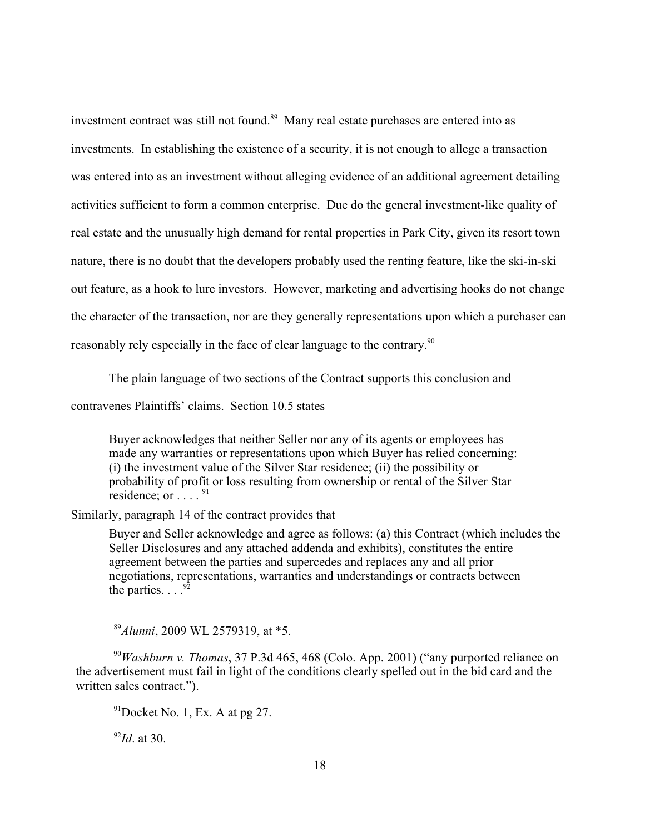investment contract was still not found. $89$  Many real estate purchases are entered into as investments. In establishing the existence of a security, it is not enough to allege a transaction was entered into as an investment without alleging evidence of an additional agreement detailing activities sufficient to form a common enterprise. Due do the general investment-like quality of real estate and the unusually high demand for rental properties in Park City, given its resort town nature, there is no doubt that the developers probably used the renting feature, like the ski-in-ski out feature, as a hook to lure investors. However, marketing and advertising hooks do not change the character of the transaction, nor are they generally representations upon which a purchaser can reasonably rely especially in the face of clear language to the contrary.<sup>90</sup>

The plain language of two sections of the Contract supports this conclusion and

contravenes Plaintiffs' claims. Section 10.5 states

Buyer acknowledges that neither Seller nor any of its agents or employees has made any warranties or representations upon which Buyer has relied concerning: (i) the investment value of the Silver Star residence; (ii) the possibility or probability of profit or loss resulting from ownership or rental of the Silver Star residence; or  $\ldots$  .  $^{91}$ 

Similarly, paragraph 14 of the contract provides that

Buyer and Seller acknowledge and agree as follows: (a) this Contract (which includes the Seller Disclosures and any attached addenda and exhibits), constitutes the entire agreement between the parties and supercedes and replaces any and all prior negotiations, representations, warranties and understandings or contracts between the parties.  $\ldots$ <sup>9</sup>

<sup>89</sup>Alunni, 2009 WL 2579319, at \*5.

 $^{90}$ *Washburn v. Thomas*, 37 P.3d 465, 468 (Colo. App. 2001) ("any purported reliance on the advertisement must fail in light of the conditions clearly spelled out in the bid card and the written sales contract.").

 $91$ Docket No. 1, Ex. A at pg 27.

 $^{92}$ *Id*. at 30.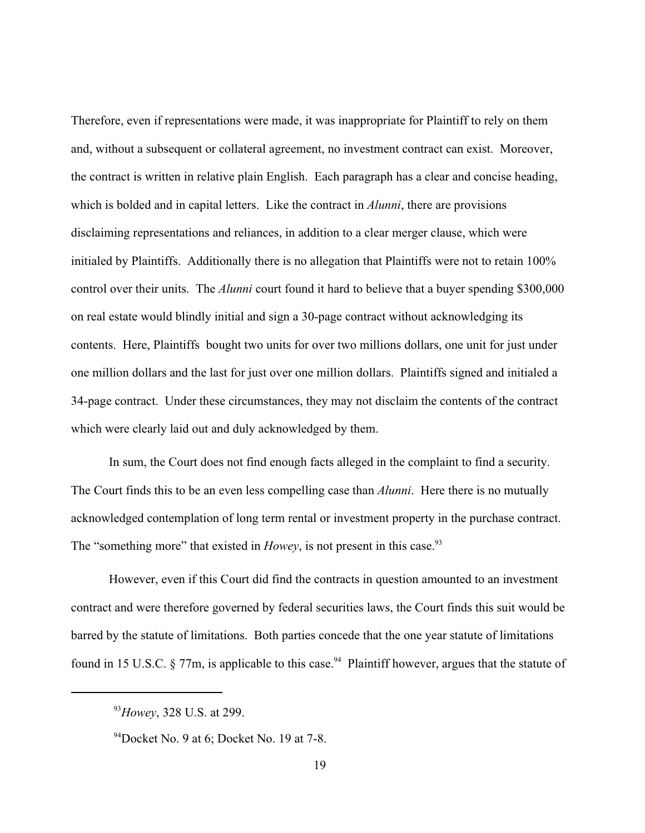Therefore, even if representations were made, it was inappropriate for Plaintiff to rely on them and, without a subsequent or collateral agreement, no investment contract can exist. Moreover, the contract is written in relative plain English. Each paragraph has a clear and concise heading, which is bolded and in capital letters. Like the contract in *Alunni*, there are provisions disclaiming representations and reliances, in addition to a clear merger clause, which were initialed by Plaintiffs. Additionally there is no allegation that Plaintiffs were not to retain 100% control over their units. The *Alunni* court found it hard to believe that a buyer spending \$300,000 on real estate would blindly initial and sign a 30-page contract without acknowledging its contents. Here, Plaintiffs bought two units for over two millions dollars, one unit for just under one million dollars and the last for just over one million dollars. Plaintiffs signed and initialed a 34-page contract. Under these circumstances, they may not disclaim the contents of the contract which were clearly laid out and duly acknowledged by them.

In sum, the Court does not find enough facts alleged in the complaint to find a security. The Court finds this to be an even less compelling case than *Alunni*. Here there is no mutually acknowledged contemplation of long term rental or investment property in the purchase contract. The "something more" that existed in *Howey*, is not present in this case.<sup>93</sup>

However, even if this Court did find the contracts in question amounted to an investment contract and were therefore governed by federal securities laws, the Court finds this suit would be barred by the statute of limitations. Both parties concede that the one year statute of limitations found in 15 U.S.C.  $\S 77m$ , is applicable to this case.<sup>94</sup> Plaintiff however, argues that the statute of

<sup>&</sup>lt;sup>93</sup>Howey, 328 U.S. at 299.

 $94$ Docket No. 9 at 6; Docket No. 19 at 7-8.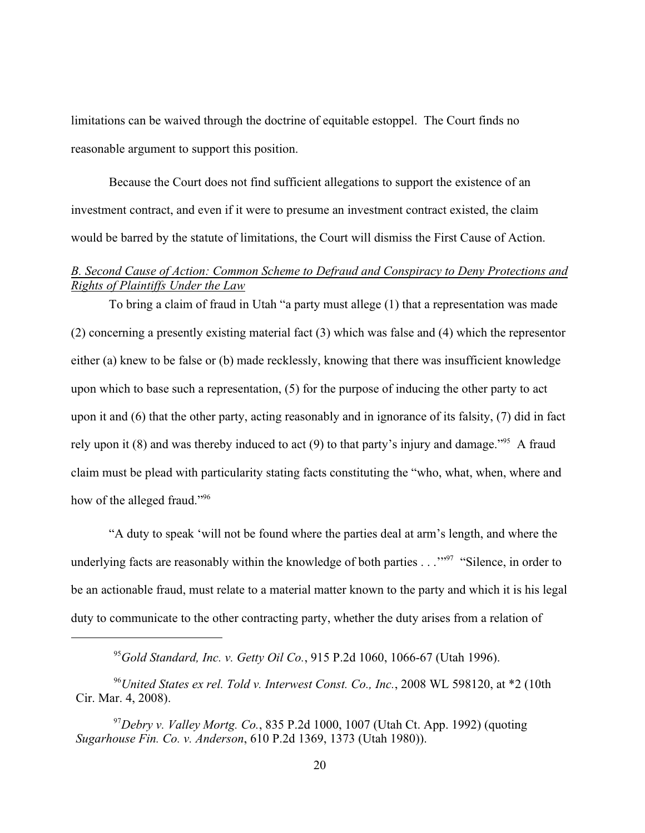limitations can be waived through the doctrine of equitable estoppel. The Court finds no reasonable argument to support this position.

Because the Court does not find sufficient allegations to support the existence of an investment contract, and even if it were to presume an investment contract existed, the claim would be barred by the statute of limitations, the Court will dismiss the First Cause of Action.

# *B. Second Cause of Action: Common Scheme to Defraud and Conspiracy to Deny Protections and Rights of Plaintiffs Under the Law*

To bring a claim of fraud in Utah "a party must allege (1) that a representation was made (2) concerning a presently existing material fact (3) which was false and (4) which the representor either (a) knew to be false or (b) made recklessly, knowing that there was insufficient knowledge upon which to base such a representation, (5) for the purpose of inducing the other party to act upon it and (6) that the other party, acting reasonably and in ignorance of its falsity, (7) did in fact rely upon it (8) and was thereby induced to act (9) to that party's injury and damage.<sup>"<sup>95</sup> A fraud</sup> claim must be plead with particularity stating facts constituting the "who, what, when, where and how of the alleged fraud."<sup>96</sup>

"A duty to speak 'will not be found where the parties deal at arm's length, and where the underlying facts are reasonably within the knowledge of both parties  $\ldots$ <sup>"97</sup> "Silence, in order to be an actionable fraud, must relate to a material matter known to the party and which it is his legal duty to communicate to the other contracting party, whether the duty arises from a relation of

*Gold Standard, Inc. v. Getty Oil Co.*, 915 P.2d 1060, 1066-67 (Utah 1996). 95

<sup>&</sup>lt;sup>96</sup> United States ex rel. Told v. Interwest Const. Co., Inc., 2008 WL 598120, at  $*2$  (10th Cir. Mar. 4, 2008).

 $^{97}$ Debry v. *Valley Mortg. Co.*, 835 P.2d 1000, 1007 (Utah Ct. App. 1992) (quoting *Sugarhouse Fin. Co. v. Anderson*, 610 P.2d 1369, 1373 (Utah 1980)).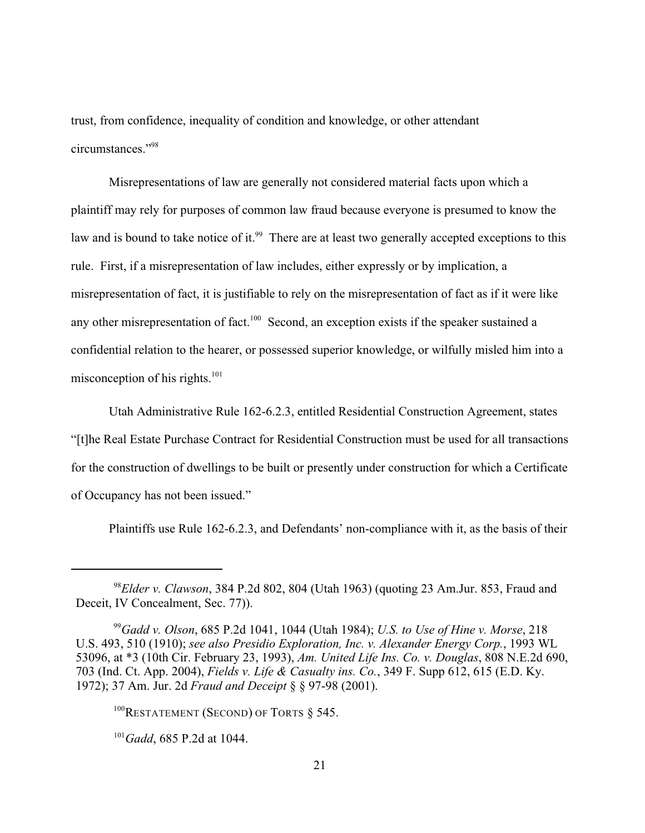trust, from confidence, inequality of condition and knowledge, or other attendant circumstances."<sup>98</sup>

Misrepresentations of law are generally not considered material facts upon which a plaintiff may rely for purposes of common law fraud because everyone is presumed to know the law and is bound to take notice of it.<sup>99</sup> There are at least two generally accepted exceptions to this rule. First, if a misrepresentation of law includes, either expressly or by implication, a misrepresentation of fact, it is justifiable to rely on the misrepresentation of fact as if it were like any other misrepresentation of fact.<sup>100</sup> Second, an exception exists if the speaker sustained a confidential relation to the hearer, or possessed superior knowledge, or wilfully misled him into a misconception of his rights. $101$ 

Utah Administrative Rule 162-6.2.3, entitled Residential Construction Agreement, states "[t]he Real Estate Purchase Contract for Residential Construction must be used for all transactions for the construction of dwellings to be built or presently under construction for which a Certificate of Occupancy has not been issued."

Plaintiffs use Rule 162-6.2.3, and Defendants' non-compliance with it, as the basis of their

 $^{98}$ *Elder v. Clawson*, 384 P.2d 802, 804 (Utah 1963) (quoting 23 Am.Jur. 853, Fraud and Deceit, IV Concealment, Sec. 77)).

<sup>&</sup>lt;sup>99</sup> Gadd v. Olson, 685 P.2d 1041, 1044 (Utah 1984); *U.S. to Use of Hine v. Morse*, 218 U.S. 493, 510 (1910); *see also Presidio Exploration, Inc. v. Alexander Energy Corp.*, 1993 WL 53096, at \*3 (10th Cir. February 23, 1993), *Am. United Life Ins. Co. v. Douglas*, 808 N.E.2d 690, 703 (Ind. Ct. App. 2004), *Fields v. Life & Casualty ins. Co.*, 349 F. Supp 612, 615 (E.D. Ky. 1972); 37 Am. Jur. 2d *Fraud and Deceipt* § § 97-98 (2001).

 $100$ RESTATEMENT (SECOND) OF TORTS § 545.

 $^{101}$ *Gadd*, 685 P.2d at 1044.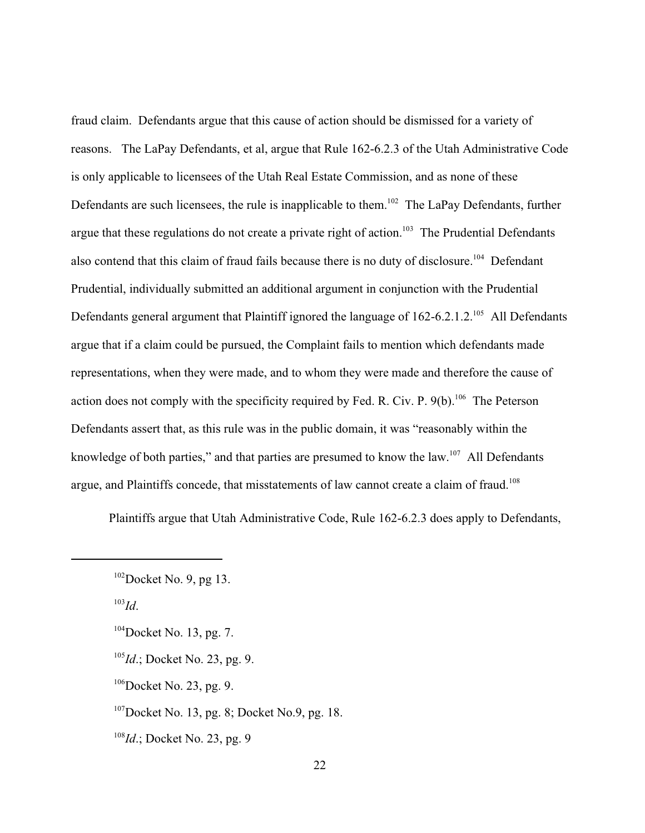fraud claim. Defendants argue that this cause of action should be dismissed for a variety of reasons. The LaPay Defendants, et al, argue that Rule 162-6.2.3 of the Utah Administrative Code is only applicable to licensees of the Utah Real Estate Commission, and as none of these Defendants are such licensees, the rule is inapplicable to them.<sup>102</sup> The LaPay Defendants, further argue that these regulations do not create a private right of action.<sup>103</sup> The Prudential Defendants also contend that this claim of fraud fails because there is no duty of disclosure.<sup>104</sup> Defendant Prudential, individually submitted an additional argument in conjunction with the Prudential Defendants general argument that Plaintiff ignored the language of  $162-6.2.1.2$ <sup>105</sup> All Defendants argue that if a claim could be pursued, the Complaint fails to mention which defendants made representations, when they were made, and to whom they were made and therefore the cause of action does not comply with the specificity required by Fed. R. Civ. P.  $9(b)$ . <sup>106</sup> The Peterson Defendants assert that, as this rule was in the public domain, it was "reasonably within the knowledge of both parties," and that parties are presumed to know the law. <sup>107</sup> All Defendants argue, and Plaintiffs concede, that misstatements of law cannot create a claim of fraud.<sup>108</sup>

Plaintiffs argue that Utah Administrative Code, Rule 162-6.2.3 does apply to Defendants,

 $\mu^{103}$ *Id*.

- <sup>105</sup>*Id*.; Docket No. 23, pg. 9.
- $106$ Docket No. 23, pg. 9.

 $107$ Docket No. 13, pg. 8; Docket No.9, pg. 18.

 $^{108}Id$ .; Docket No. 23, pg. 9

 $102$ Docket No. 9, pg 13.

 $104$ Docket No. 13, pg. 7.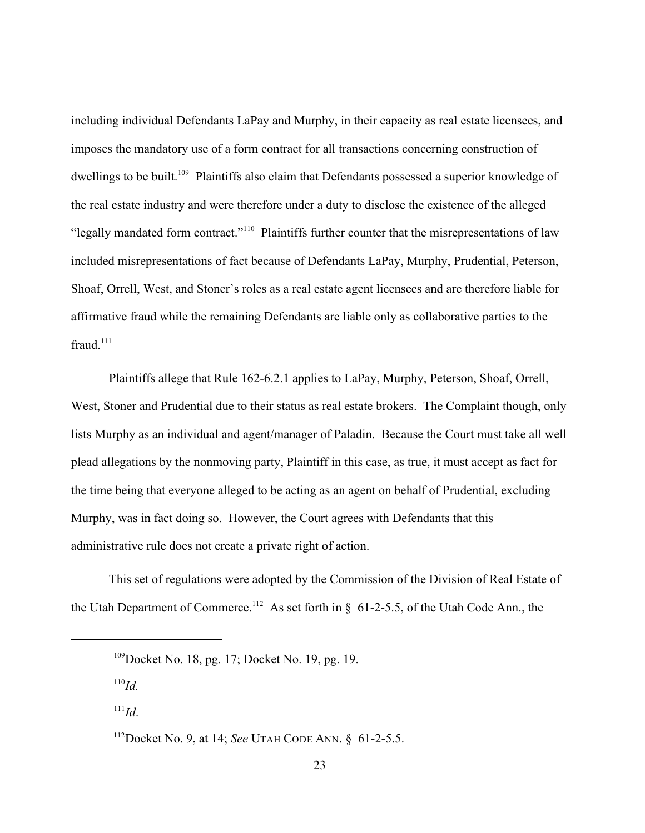including individual Defendants LaPay and Murphy, in their capacity as real estate licensees, and imposes the mandatory use of a form contract for all transactions concerning construction of dwellings to be built.<sup>109</sup> Plaintiffs also claim that Defendants possessed a superior knowledge of the real estate industry and were therefore under a duty to disclose the existence of the alleged "legally mandated form contract."<sup>110</sup> Plaintiffs further counter that the misrepresentations of law included misrepresentations of fact because of Defendants LaPay, Murphy, Prudential, Peterson, Shoaf, Orrell, West, and Stoner's roles as a real estate agent licensees and are therefore liable for affirmative fraud while the remaining Defendants are liable only as collaborative parties to the fraud. $111$ 

Plaintiffs allege that Rule 162-6.2.1 applies to LaPay, Murphy, Peterson, Shoaf, Orrell, West, Stoner and Prudential due to their status as real estate brokers. The Complaint though, only lists Murphy as an individual and agent/manager of Paladin. Because the Court must take all well plead allegations by the nonmoving party, Plaintiff in this case, as true, it must accept as fact for the time being that everyone alleged to be acting as an agent on behalf of Prudential, excluding Murphy, was in fact doing so. However, the Court agrees with Defendants that this administrative rule does not create a private right of action.

This set of regulations were adopted by the Commission of the Division of Real Estate of the Utah Department of Commerce.<sup>112</sup> As set forth in  $\S$  61-2-5.5, of the Utah Code Ann., the

 $^{110}$ *Id.* 

 $\,$ <sup>111</sup>Id.

 $109$  Docket No. 18, pg. 17; Docket No. 19, pg. 19.

<sup>&</sup>lt;sup>112</sup>Docket No. 9, at 14; *See* UTAH CODE ANN. § 61-2-5.5.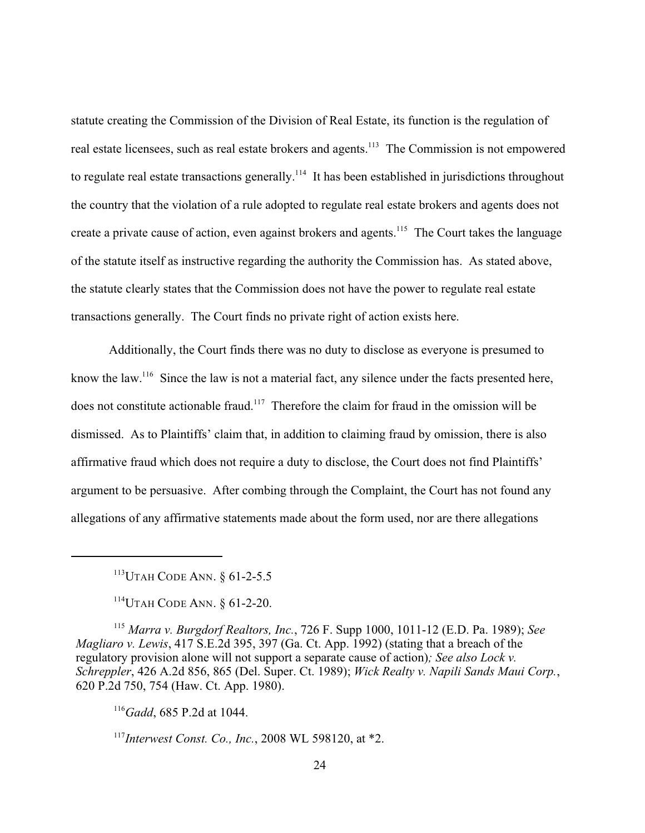statute creating the Commission of the Division of Real Estate, its function is the regulation of real estate licensees, such as real estate brokers and agents.<sup>113</sup> The Commission is not empowered to regulate real estate transactions generally.<sup>114</sup> It has been established in jurisdictions throughout the country that the violation of a rule adopted to regulate real estate brokers and agents does not create a private cause of action, even against brokers and agents.<sup>115</sup> The Court takes the language of the statute itself as instructive regarding the authority the Commission has. As stated above, the statute clearly states that the Commission does not have the power to regulate real estate transactions generally. The Court finds no private right of action exists here.

Additionally, the Court finds there was no duty to disclose as everyone is presumed to know the law.<sup>116</sup> Since the law is not a material fact, any silence under the facts presented here, does not constitute actionable fraud.<sup> $117$ </sup> Therefore the claim for fraud in the omission will be dismissed. As to Plaintiffs' claim that, in addition to claiming fraud by omission, there is also affirmative fraud which does not require a duty to disclose, the Court does not find Plaintiffs' argument to be persuasive. After combing through the Complaint, the Court has not found any allegations of any affirmative statements made about the form used, nor are there allegations

 $^{113}$ UTAH CODE ANN.  $\delta$  61-2-5.5

<sup>114</sup>UTAH CODE ANN. § 61-2-20.

<sup>115</sup> Marra v. Burgdorf Realtors, Inc., 726 F. Supp 1000, 1011-12 (E.D. Pa. 1989); See *Magliaro v. Lewis*, 417 S.E.2d 395, 397 (Ga. Ct. App. 1992) (stating that a breach of the regulatory provision alone will not support a separate cause of action)*; See also Lock v. Schreppler*, 426 A.2d 856, 865 (Del. Super. Ct. 1989); *Wick Realty v. Napili Sands Maui Corp.*, 620 P.2d 750, 754 (Haw. Ct. App. 1980).

<sup>116</sup>Gadd, 685 P.2d at 1044.

*Interwest Const. Co., Inc.*, 2008 WL 598120, at \*2. <sup>117</sup>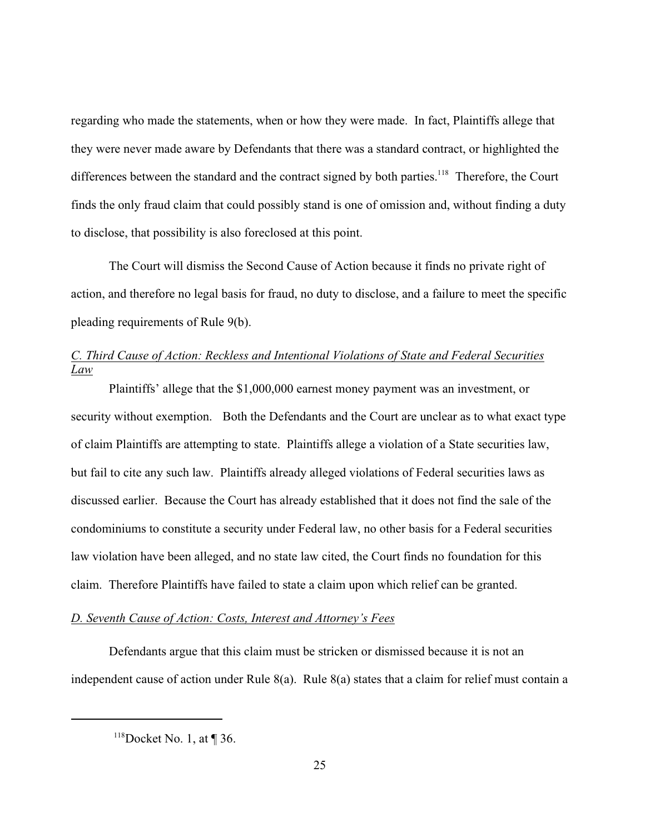regarding who made the statements, when or how they were made. In fact, Plaintiffs allege that they were never made aware by Defendants that there was a standard contract, or highlighted the differences between the standard and the contract signed by both parties.<sup>118</sup> Therefore, the Court finds the only fraud claim that could possibly stand is one of omission and, without finding a duty to disclose, that possibility is also foreclosed at this point.

The Court will dismiss the Second Cause of Action because it finds no private right of action, and therefore no legal basis for fraud, no duty to disclose, and a failure to meet the specific pleading requirements of Rule 9(b).

# *C. Third Cause of Action: Reckless and Intentional Violations of State and Federal Securities Law*

Plaintiffs' allege that the \$1,000,000 earnest money payment was an investment, or security without exemption. Both the Defendants and the Court are unclear as to what exact type of claim Plaintiffs are attempting to state. Plaintiffs allege a violation of a State securities law, but fail to cite any such law. Plaintiffs already alleged violations of Federal securities laws as discussed earlier. Because the Court has already established that it does not find the sale of the condominiums to constitute a security under Federal law, no other basis for a Federal securities law violation have been alleged, and no state law cited, the Court finds no foundation for this claim. Therefore Plaintiffs have failed to state a claim upon which relief can be granted.

### *D. Seventh Cause of Action: Costs, Interest and Attorney's Fees*

Defendants argue that this claim must be stricken or dismissed because it is not an independent cause of action under Rule 8(a). Rule 8(a) states that a claim for relief must contain a

 $118$ Docket No. 1, at ¶ 36.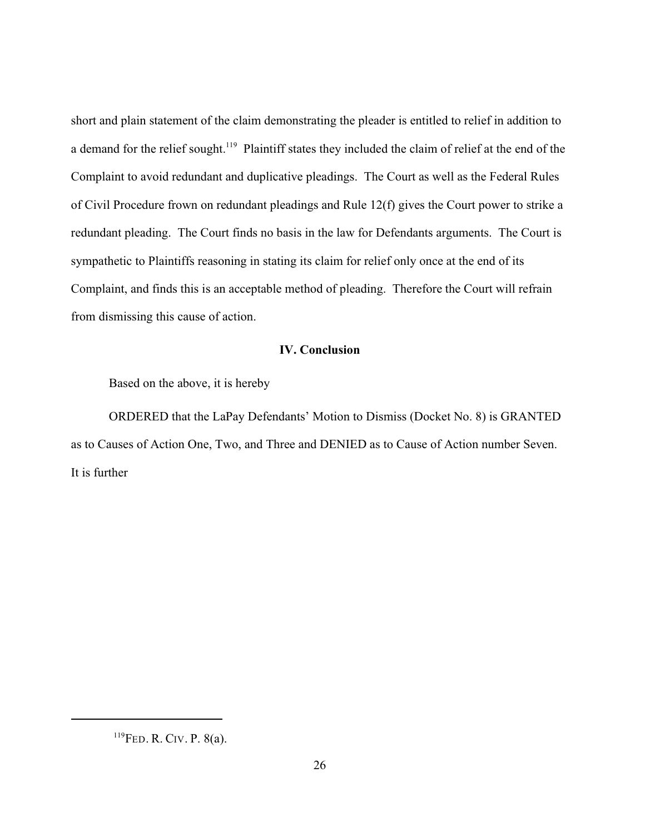short and plain statement of the claim demonstrating the pleader is entitled to relief in addition to a demand for the relief sought.<sup>119</sup> Plaintiff states they included the claim of relief at the end of the Complaint to avoid redundant and duplicative pleadings. The Court as well as the Federal Rules of Civil Procedure frown on redundant pleadings and Rule 12(f) gives the Court power to strike a redundant pleading. The Court finds no basis in the law for Defendants arguments. The Court is sympathetic to Plaintiffs reasoning in stating its claim for relief only once at the end of its Complaint, and finds this is an acceptable method of pleading. Therefore the Court will refrain from dismissing this cause of action.

### **IV. Conclusion**

Based on the above, it is hereby

ORDERED that the LaPay Defendants' Motion to Dismiss (Docket No. 8) is GRANTED as to Causes of Action One, Two, and Three and DENIED as to Cause of Action number Seven. It is further

 $^{119}$ FED. R. CIV. P. 8(a).